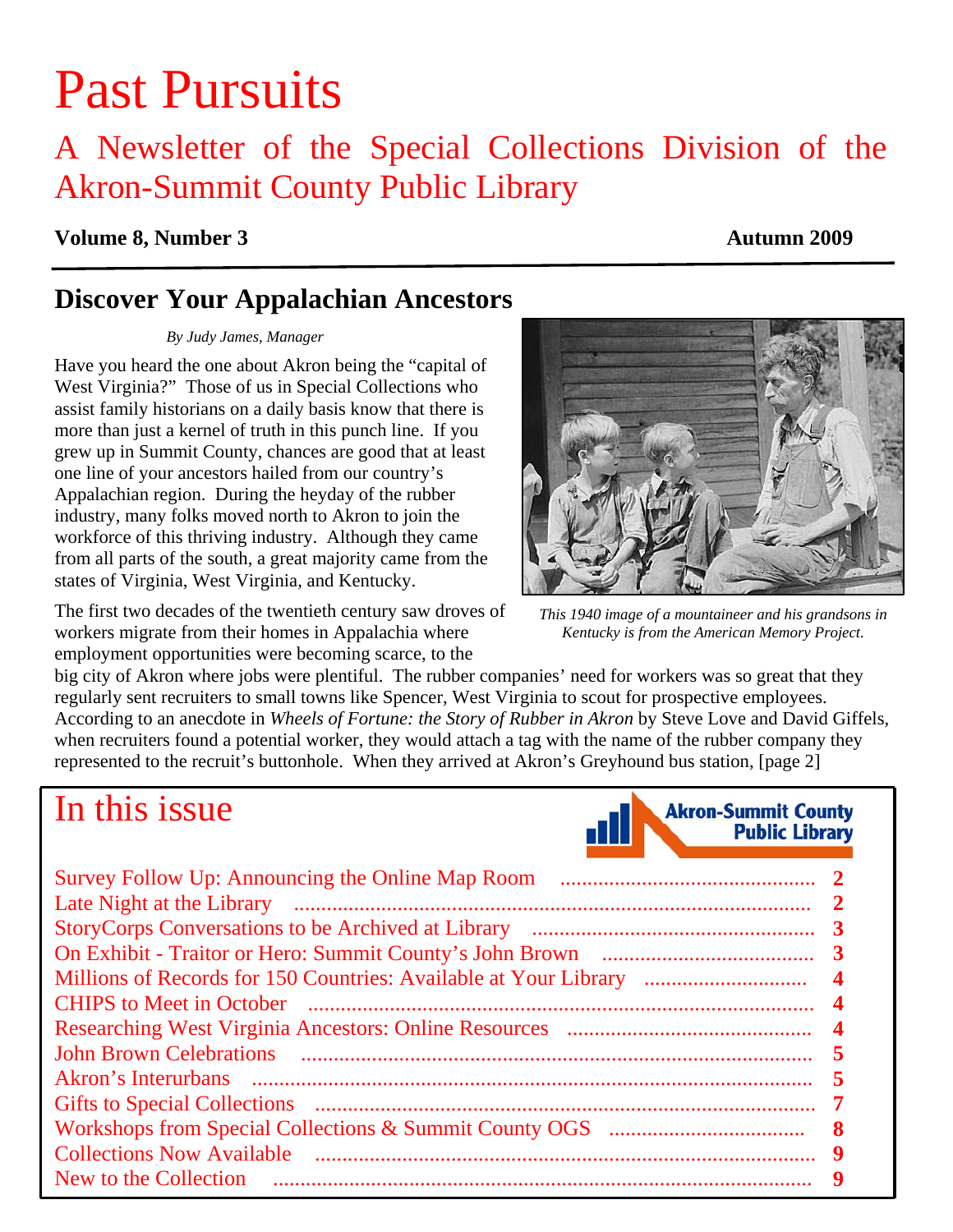# Past Pursuits

## A Newsletter of the Special Collections Division of the Akron-Summit County Public Library

#### **Volume 8, Number 3** Autumn 2009

### **Discover Your Appalachian Ancestors**

#### *By Judy James, Manager*

Have you heard the one about Akron being the "capital of West Virginia?" Those of us in Special Collections who assist family historians on a daily basis know that there is more than just a kernel of truth in this punch line. If you grew up in Summit County, chances are good that at least one line of your ancestors hailed from our country's Appalachian region. During the heyday of the rubber industry, many folks moved north to Akron to join the workforce of this thriving industry. Although they came from all parts of the south, a great majority came from the states of Virginia, West Virginia, and Kentucky.

The first two decades of the twentieth century saw droves of workers migrate from their homes in Appalachia where employment opportunities were becoming scarce, to the

New to the Collection [...................................................................................................](#page-8-0) **9**

*This 1940 image of a mountaineer and his grandsons in Kentucky is from the American Memory Project.* 

big city of Akron where jobs were plentiful. The rubber companies' need for workers was so great that they regularly sent recruiters to small towns like Spencer, West Virginia to scout for prospective employees. According to an anecdote in *Wheels of Fortune: the Story of Rubber in Akron* by Steve Love and David Giffels, when recruiters found a potential worker, they would attach a tag with the name of the rubber company they represented to the recruit's buttonhole. When they arrived at Akron's Greyhound bus station, [\[page 2\]](#page-1-0)

## In this issue

| In this issue<br><b>Akron-Summit County<br/>Public Library</b> |
|----------------------------------------------------------------|
|                                                                |
|                                                                |
|                                                                |
|                                                                |
|                                                                |
|                                                                |
|                                                                |
|                                                                |
|                                                                |
|                                                                |
| 8                                                              |
|                                                                |



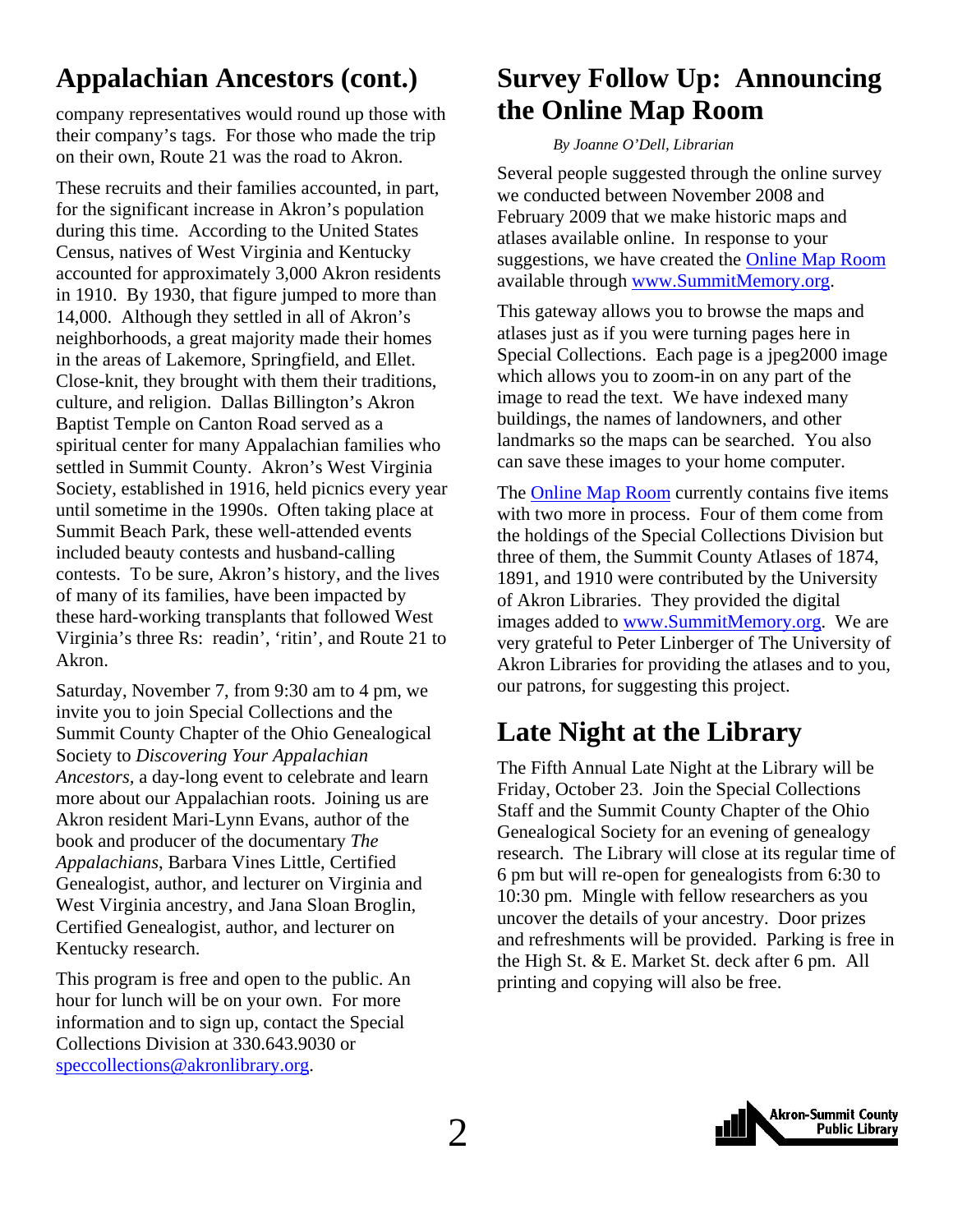## <span id="page-1-0"></span>**Appalachian Ancestors (cont.)**

company representatives would round up those with their company's tags. For those who made the trip on their own, Route 21 was the road to Akron.

These recruits and their families accounted, in part, for the significant increase in Akron's population during this time. According to the United States Census, natives of West Virginia and Kentucky accounted for approximately 3,000 Akron residents in 1910. By 1930, that figure jumped to more than 14,000. Although they settled in all of Akron's neighborhoods, a great majority made their homes in the areas of Lakemore, Springfield, and Ellet. Close-knit, they brought with them their traditions, culture, and religion. Dallas Billington's Akron Baptist Temple on Canton Road served as a spiritual center for many Appalachian families who settled in Summit County. Akron's West Virginia Society, established in 1916, held picnics every year until sometime in the 1990s. Often taking place at Summit Beach Park, these well-attended events included beauty contests and husband-calling contests. To be sure, Akron's history, and the lives of many of its families, have been impacted by these hard-working transplants that followed West Virginia's three Rs: readin', 'ritin', and Route 21 to Akron.

Saturday, November 7, from 9:30 am to 4 pm, we invite you to join Special Collections and the Summit County Chapter of the Ohio Genealogical Society to *Discovering Your Appalachian Ancestors,* a day-long event to celebrate and learn more about our Appalachian roots. Joining us are Akron resident Mari-Lynn Evans, author of the book and producer of the documentary *The Appalachians*, Barbara Vines Little, Certified Genealogist, author, and lecturer on Virginia and West Virginia ancestry, and Jana Sloan Broglin, Certified Genealogist, author, and lecturer on Kentucky research.

This program is free and open to the public. An hour for lunch will be on your own. For more information and to sign up, contact the Special Collections Division at 330.643.9030 or speccollections@akronlibrary.org.

## **Survey Follow Up: Announcing the Online Map Room**

#### *By Joanne O'Dell, Librarian*

Several people suggested through the online survey we conducted between November 2008 and February 2009 that we make historic maps and atlases available online. In response to your suggestions, we have created the [Online Map Room](http://www.summitmemory.org/cdm4/onlinemaproom.php) available through www.SummitMemory.org.

This gateway allows you to browse the maps and atlases just as if you were turning pages here in Special Collections. Each page is a jpeg2000 image which allows you to zoom-in on any part of the image to read the text. We have indexed many buildings, the names of landowners, and other landmarks so the maps can be searched. You also can save these images to your home computer.

The [Online Map Room](http://www.summitmemory.org/cdm4/onlinemaproom.php) currently contains five items with two more in process. Four of them come from the holdings of the Special Collections Division but three of them, the Summit County Atlases of 1874, 1891, and 1910 were contributed by the University of Akron Libraries. They provided the digital images added to www.SummitMemory.org. We are very grateful to Peter Linberger of The University of Akron Libraries for providing the atlases and to you, our patrons, for suggesting this project.

## **Late Night at the Library**

The Fifth Annual Late Night at the Library will be Friday, October 23. Join the Special Collections Staff and the Summit County Chapter of the Ohio Genealogical Society for an evening of genealogy research. The Library will close at its regular time of 6 pm but will re-open for genealogists from 6:30 to 10:30 pm. Mingle with fellow researchers as you uncover the details of your ancestry. Door prizes and refreshments will be provided. Parking is free in the High St. & E. Market St. deck after 6 pm. All printing and copying will also be free.

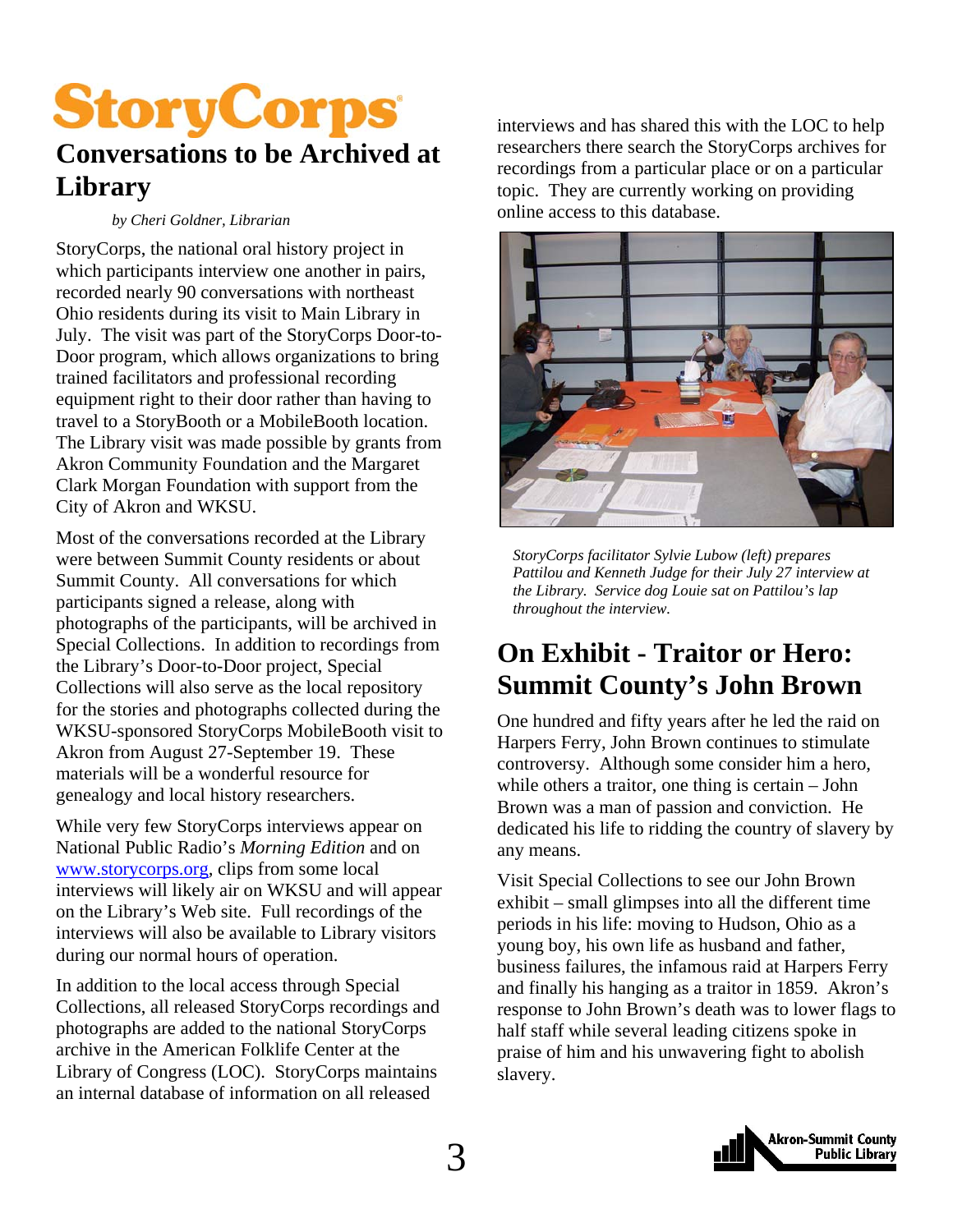## <span id="page-2-0"></span>**StoryCorps Conversations to be Archived at Library**

*by Cheri Goldner, Librarian* 

StoryCorps, the national oral history project in which participants interview one another in pairs, recorded nearly 90 conversations with northeast Ohio residents during its visit to Main Library in July. The visit was part of the StoryCorps Door-to-Door program, which allows organizations to bring trained facilitators and professional recording equipment right to their door rather than having to travel to a StoryBooth or a MobileBooth location. The Library visit was made possible by grants from Akron Community Foundation and the Margaret Clark Morgan Foundation with support from the City of Akron and WKSU.

Most of the conversations recorded at the Library were between Summit County residents or about Summit County. All conversations for which participants signed a release, along with photographs of the participants, will be archived in Special Collections. In addition to recordings from the Library's Door-to-Door project, Special Collections will also serve as the local repository for the stories and photographs collected during the WKSU-sponsored StoryCorps MobileBooth visit to Akron from August 27-September 19. These materials will be a wonderful resource for genealogy and local history researchers.

While very few StoryCorps interviews appear on National Public Radio's *Morning Edition* and on www.storycorps.org*,* clips from some local interviews will likely air on WKSU and will appear on the Library's Web site. Full recordings of the interviews will also be available to Library visitors during our normal hours of operation.

In addition to the local access through Special Collections, all released StoryCorps recordings and photographs are added to the national StoryCorps archive in the American Folklife Center at the Library of Congress (LOC). StoryCorps maintains an internal database of information on all released

interviews and has shared this with the LOC to help researchers there search the StoryCorps archives for recordings from a particular place or on a particular topic. They are currently working on providing online access to this database.



*StoryCorps facilitator Sylvie Lubow (left) prepares Pattilou and Kenneth Judge for their July 27 interview at the Library. Service dog Louie sat on Pattilou's lap throughout the interview.* 

## **On Exhibit - Traitor or Hero: Summit County's John Brown**

One hundred and fifty years after he led the raid on Harpers Ferry, John Brown continues to stimulate controversy. Although some consider him a hero, while others a traitor, one thing is certain – John Brown was a man of passion and conviction. He dedicated his life to ridding the country of slavery by any means.

Visit Special Collections to see our John Brown exhibit – small glimpses into all the different time periods in his life: moving to Hudson, Ohio as a young boy, his own life as husband and father, business failures, the infamous raid at Harpers Ferry and finally his hanging as a traitor in 1859. Akron's response to John Brown's death was to lower flags to half staff while several leading citizens spoke in praise of him and his unwavering fight to abolish slavery.

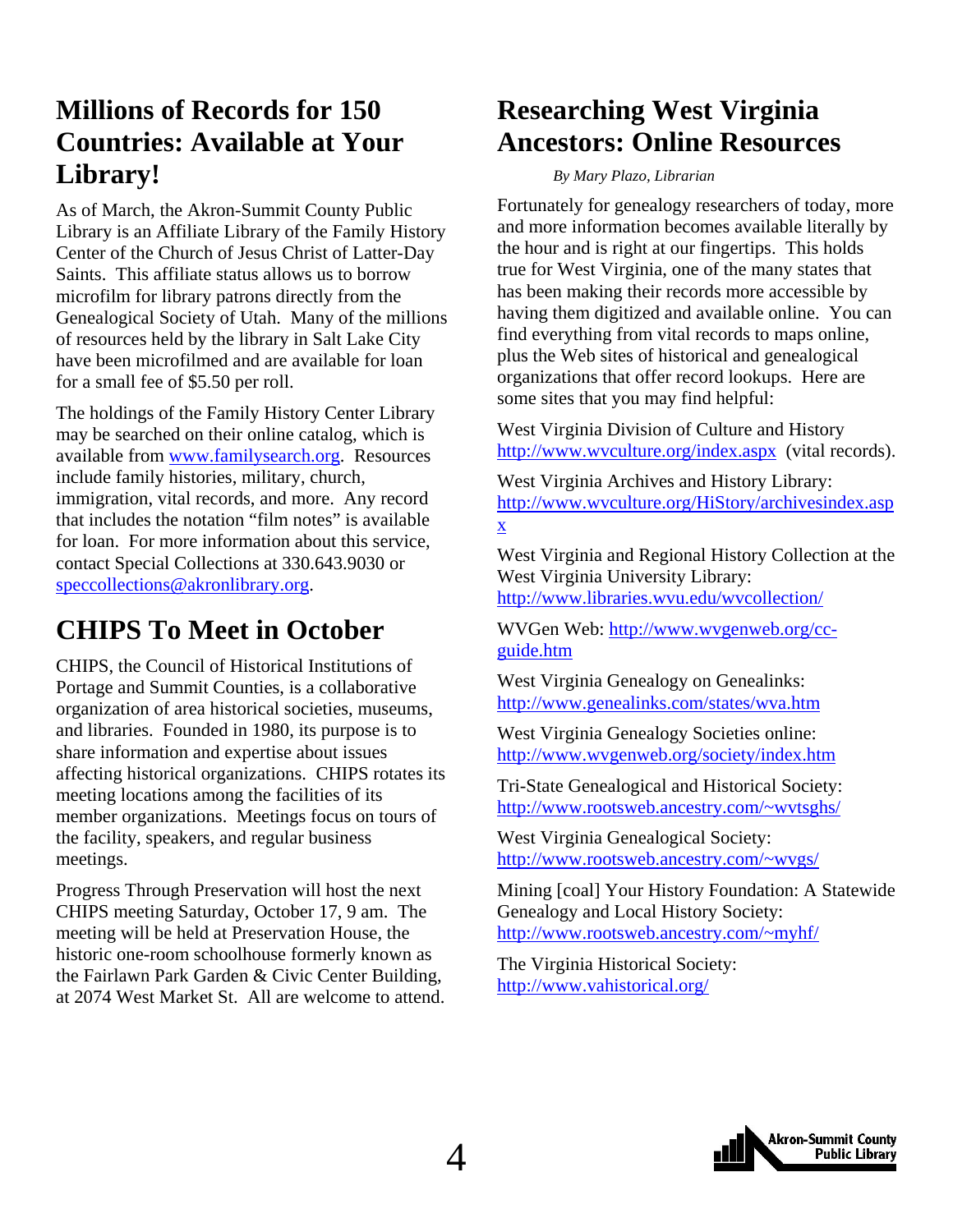## <span id="page-3-0"></span>**Millions of Records for 150 Countries: Available at Your Library!**

As of March, the Akron-Summit County Public Library is an Affiliate Library of the Family History Center of the Church of Jesus Christ of Latter-Day Saints. This affiliate status allows us to borrow microfilm for library patrons directly from the Genealogical Society of Utah. Many of the millions of resources held by the library in Salt Lake City have been microfilmed and are available for loan for a small fee of \$5.50 per roll.

The holdings of the Family History Center Library may be searched on their online catalog, which is available from www.familysearch.org. Resources include family histories, military, church, immigration, vital records, and more. Any record that includes the notation "film notes" is available for loan. For more information about this service, contact Special Collections at 330.643.9030 or speccollections@akronlibrary.org.

## **CHIPS To Meet in October**

CHIPS, the Council of Historical Institutions of Portage and Summit Counties, is a collaborative organization of area historical societies, museums, and libraries. Founded in 1980, its purpose is to share information and expertise about issues affecting historical organizations. CHIPS rotates its meeting locations among the facilities of its member organizations. Meetings focus on tours of the facility, speakers, and regular business meetings.

Progress Through Preservation will host the next CHIPS meeting Saturday, October 17, 9 am. The meeting will be held at Preservation House, the historic one-room schoolhouse formerly known as the Fairlawn Park Garden & Civic Center Building, at 2074 West Market St. All are welcome to attend.

## **Researching West Virginia Ancestors: Online Resources**

*By Mary Plazo, Librarian* 

Fortunately for genealogy researchers of today, more and more information becomes available literally by the hour and is right at our fingertips. This holds true for West Virginia, one of the many states that has been making their records more accessible by having them digitized and available online. You can find everything from vital records to maps online, plus the Web sites of historical and genealogical organizations that offer record lookups. Here are some sites that you may find helpful:

West Virginia Division of Culture and History http://www.wvculture.org/index.aspx(vital records).

West Virginia Archives and History Library: [http://www.wvculture.org/HiStory/archivesindex.asp](http://www.wvculture.org/HiStory/archivesindex.aspx) x

West Virginia and Regional History Collection at the West Virginia University Library:

http://www.libraries.wvu.edu/wvcollection/

WVGen Web: http://www.wvgenweb.org/ccguide.htm

West Virginia Genealogy on Genealinks: http://www.genealinks.com/states/wva.htm

West Virginia Genealogy Societies online: http://www.wvgenweb.org/society/index.htm

Tri-State Genealogical and Historical Society: http://www.rootsweb.ancestry.com/~wvtsghs/

West Virginia Genealogical Society: http://www.rootsweb.ancestry.com/~wvgs/

Mining [coal] Your History Foundation: A Statewide Genealogy and Local History Society: http://www.rootsweb.ancestry.com/~myhf/

The Virginia Historical Society: http://www.vahistorical.org/

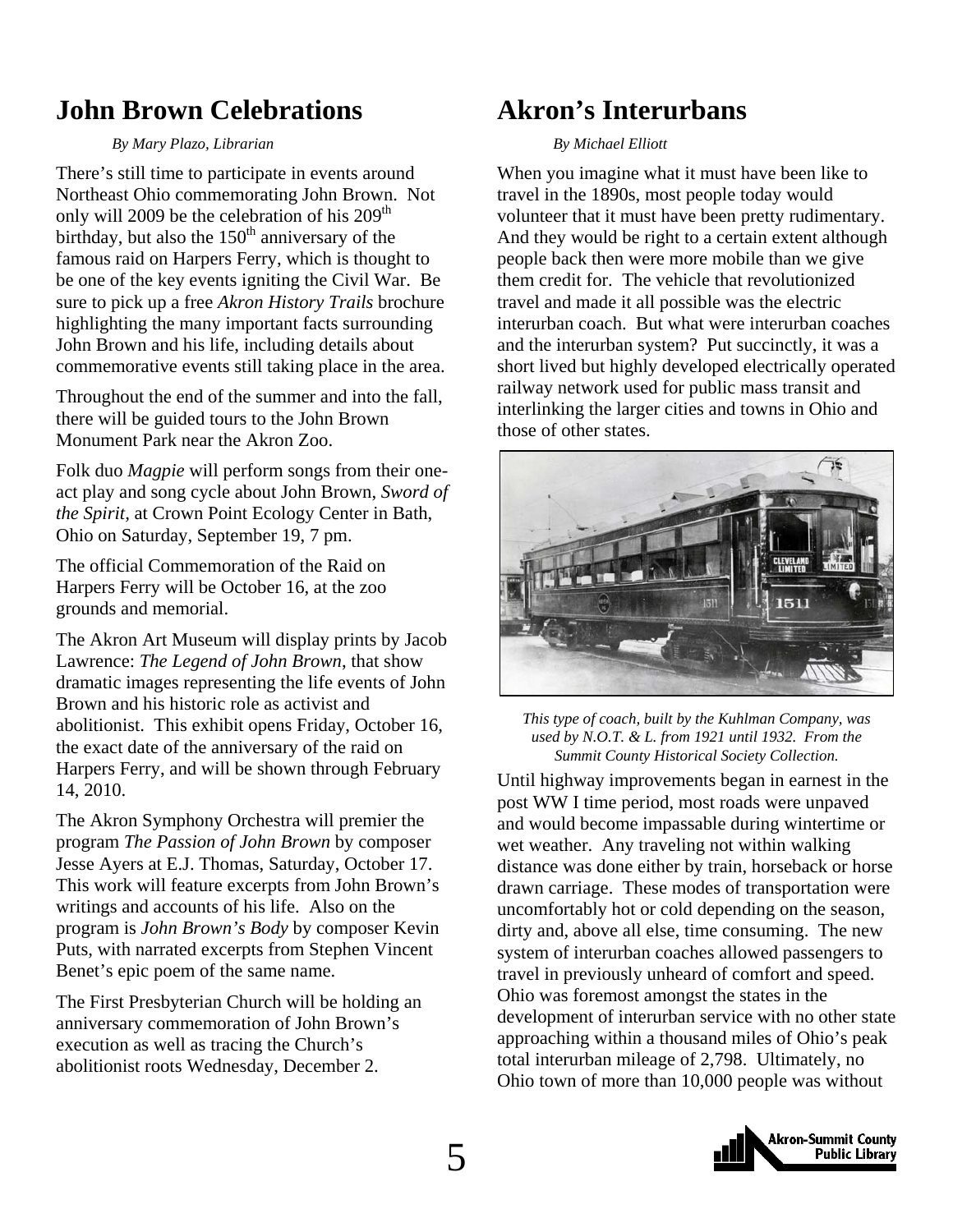### <span id="page-4-0"></span>**John Brown Celebrations**

#### *By Mary Plazo, Librarian*

There's still time to participate in events around Northeast Ohio commemorating John Brown. Not only will 2009 be the celebration of his  $209<sup>th</sup>$ birthday, but also the  $150<sup>th</sup>$  anniversary of the famous raid on Harpers Ferry, which is thought to be one of the key events igniting the Civil War. Be sure to pick up a free *Akron History Trails* brochure highlighting the many important facts surrounding John Brown and his life, including details about commemorative events still taking place in the area.

Throughout the end of the summer and into the fall, there will be guided tours to the John Brown Monument Park near the Akron Zoo.

Folk duo *Magpie* will perform songs from their oneact play and song cycle about John Brown, *Sword of the Spirit,* at Crown Point Ecology Center in Bath, Ohio on Saturday, September 19, 7 pm.

The official Commemoration of the Raid on Harpers Ferry will be October 16, at the zoo grounds and memorial.

The Akron Art Museum will display prints by Jacob Lawrence: *The Legend of John Brown*, that show dramatic images representing the life events of John Brown and his historic role as activist and abolitionist. This exhibit opens Friday, October 16, the exact date of the anniversary of the raid on Harpers Ferry, and will be shown through February 14, 2010.

The Akron Symphony Orchestra will premier the program *The Passion of John Brown* by composer Jesse Ayers at E.J. Thomas, Saturday, October 17. This work will feature excerpts from John Brown's writings and accounts of his life. Also on the program is *John Brown's Body* by composer Kevin Puts, with narrated excerpts from Stephen Vincent Benet's epic poem of the same name.

The First Presbyterian Church will be holding an anniversary commemoration of John Brown's execution as well as tracing the Church's abolitionist roots Wednesday, December 2.

## **Akron's Interurbans**

#### *By Michael Elliott*

When you imagine what it must have been like to travel in the 1890s, most people today would volunteer that it must have been pretty rudimentary. And they would be right to a certain extent although people back then were more mobile than we give them credit for. The vehicle that revolutionized travel and made it all possible was the electric interurban coach. But what were interurban coaches and the interurban system? Put succinctly, it was a short lived but highly developed electrically operated railway network used for public mass transit and interlinking the larger cities and towns in Ohio and those of other states.



*This type of coach, built by the Kuhlman Company, was used by N.O.T. & L. from 1921 until 1932. From the Summit County Historical Society Collection.* 

Until highway improvements began in earnest in the post WW I time period, most roads were unpaved and would become impassable during wintertime or wet weather. Any traveling not within walking distance was done either by train, horseback or horse drawn carriage. These modes of transportation were uncomfortably hot or cold depending on the season, dirty and, above all else, time consuming. The new system of interurban coaches allowed passengers to travel in previously unheard of comfort and speed. Ohio was foremost amongst the states in the development of interurban service with no other state approaching within a thousand miles of Ohio's peak total interurban mileage of 2,798. Ultimately, no Ohio town of more than 10,000 people was without

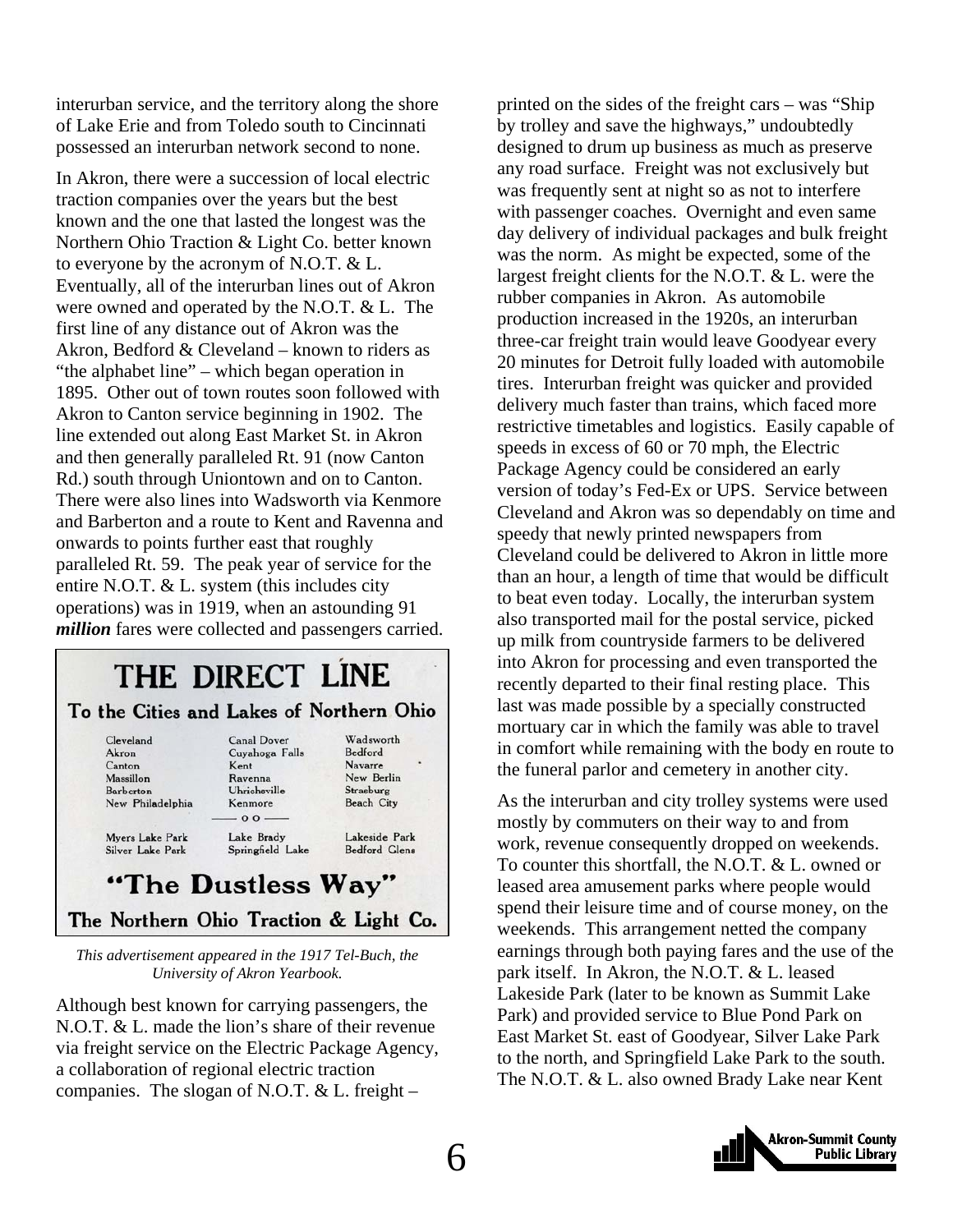interurban service, and the territory along the shore of Lake Erie and from Toledo south to Cincinnati possessed an interurban network second to none.

In Akron, there were a succession of local electric traction companies over the years but the best known and the one that lasted the longest was the Northern Ohio Traction & Light Co. better known to everyone by the acronym of N.O.T. & L. Eventually, all of the interurban lines out of Akron were owned and operated by the N.O.T. & L. The first line of any distance out of Akron was the Akron, Bedford & Cleveland – known to riders as "the alphabet line" – which began operation in 1895. Other out of town routes soon followed with Akron to Canton service beginning in 1902. The line extended out along East Market St. in Akron and then generally paralleled Rt. 91 (now Canton Rd.) south through Uniontown and on to Canton. There were also lines into Wadsworth via Kenmore and Barberton and a route to Kent and Ravenna and onwards to points further east that roughly paralleled Rt. 59. The peak year of service for the entire N.O.T. & L. system (this includes city operations) was in 1919, when an astounding 91 *million* fares were collected and passengers carried.

## THE DIRECT LINE

#### To the Cities and Lakes of Northern Ohio

| Cleveland              | <b>Canal Dover</b> | Wadsworth            |
|------------------------|--------------------|----------------------|
| Akron                  | Cuyahoga Falls     | Bedford              |
| Canton                 | Kent               | Navarre              |
| Massillon              | Ravenna            | New Berlin           |
| Barberton              | Uhrichsville       | Strasburg            |
| New Philadelphia       | Kenmore            | <b>Beach City</b>    |
|                        | $-0.0$             |                      |
| <b>Myers Lake Park</b> | Lake Brady         | Lakeside Park        |
| Silver Lake Park       | Springfield Lake   | <b>Bedford Glens</b> |

The Northern Ohio Traction & Light Co.

*This advertisement appeared in the 1917 Tel-Buch, the University of Akron Yearbook.* 

Although best known for carrying passengers, the N.O.T. & L. made the lion's share of their revenue via freight service on the Electric Package Agency, a collaboration of regional electric traction companies. The slogan of N.O.T.  $&L$ . freight –

printed on the sides of the freight cars – was "Ship by trolley and save the highways," undoubtedly designed to drum up business as much as preserve any road surface. Freight was not exclusively but was frequently sent at night so as not to interfere with passenger coaches. Overnight and even same day delivery of individual packages and bulk freight was the norm. As might be expected, some of the largest freight clients for the N.O.T. & L. were the rubber companies in Akron. As automobile production increased in the 1920s, an interurban three-car freight train would leave Goodyear every 20 minutes for Detroit fully loaded with automobile tires. Interurban freight was quicker and provided delivery much faster than trains, which faced more restrictive timetables and logistics. Easily capable of speeds in excess of 60 or 70 mph, the Electric Package Agency could be considered an early version of today's Fed-Ex or UPS. Service between Cleveland and Akron was so dependably on time and speedy that newly printed newspapers from Cleveland could be delivered to Akron in little more than an hour, a length of time that would be difficult to beat even today. Locally, the interurban system also transported mail for the postal service, picked up milk from countryside farmers to be delivered into Akron for processing and even transported the recently departed to their final resting place. This last was made possible by a specially constructed mortuary car in which the family was able to travel in comfort while remaining with the body en route to the funeral parlor and cemetery in another city.

As the interurban and city trolley systems were used mostly by commuters on their way to and from work, revenue consequently dropped on weekends. To counter this shortfall, the N.O.T. & L. owned or leased area amusement parks where people would spend their leisure time and of course money, on the weekends. This arrangement netted the company earnings through both paying fares and the use of the park itself. In Akron, the N.O.T. & L. leased Lakeside Park (later to be known as Summit Lake Park) and provided service to Blue Pond Park on East Market St. east of Goodyear, Silver Lake Park to the north, and Springfield Lake Park to the south. The N.O.T. & L. also owned Brady Lake near Kent

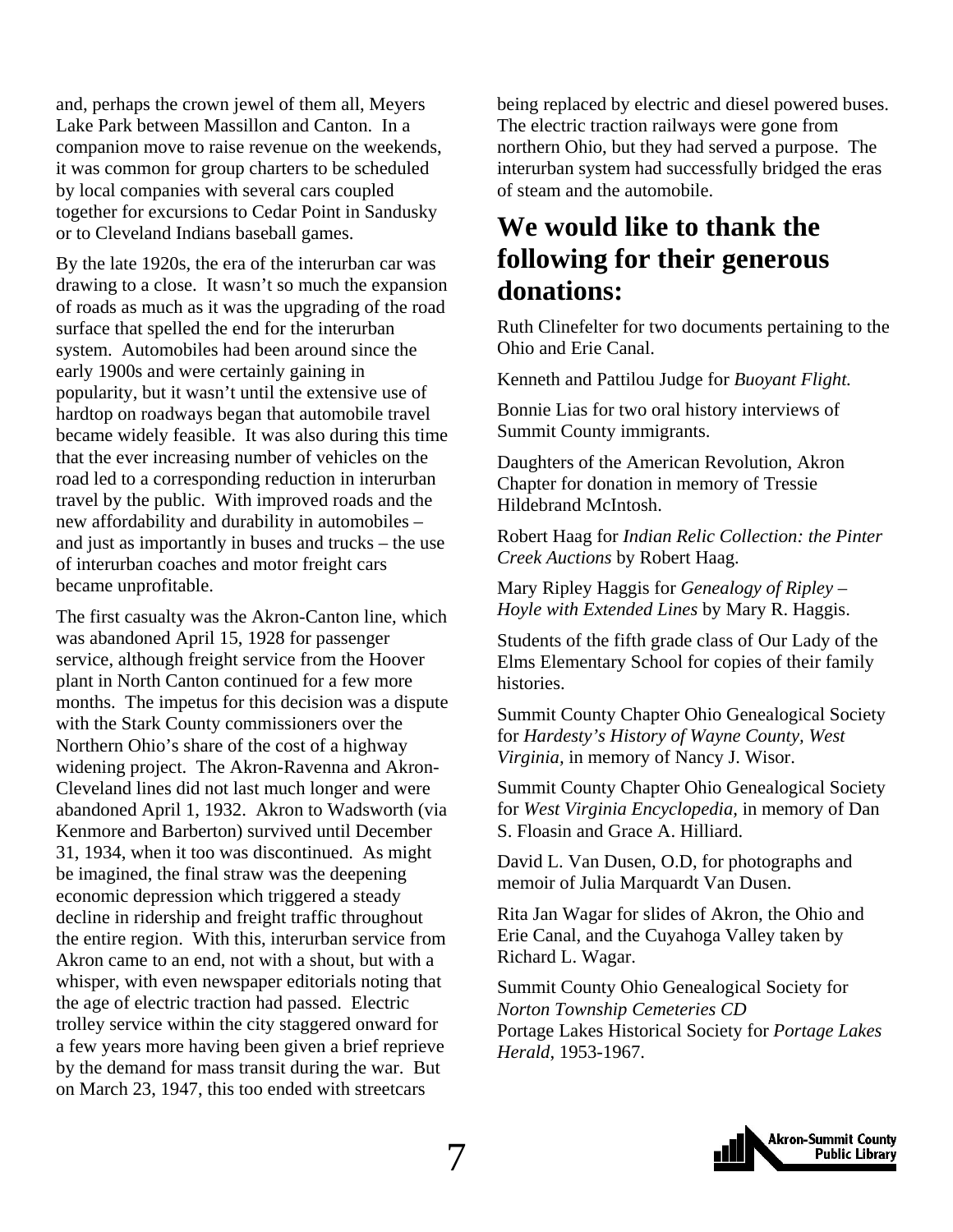<span id="page-6-0"></span>and, perhaps the crown jewel of them all, Meyers Lake Park between Massillon and Canton. In a companion move to raise revenue on the weekends, it was common for group charters to be scheduled by local companies with several cars coupled together for excursions to Cedar Point in Sandusky or to Cleveland Indians baseball games.

By the late 1920s, the era of the interurban car was drawing to a close. It wasn't so much the expansion of roads as much as it was the upgrading of the road surface that spelled the end for the interurban system. Automobiles had been around since the early 1900s and were certainly gaining in popularity, but it wasn't until the extensive use of hardtop on roadways began that automobile travel became widely feasible. It was also during this time that the ever increasing number of vehicles on the road led to a corresponding reduction in interurban travel by the public. With improved roads and the new affordability and durability in automobiles – and just as importantly in buses and trucks – the use of interurban coaches and motor freight cars became unprofitable.

The first casualty was the Akron-Canton line, which was abandoned April 15, 1928 for passenger service, although freight service from the Hoover plant in North Canton continued for a few more months. The impetus for this decision was a dispute with the Stark County commissioners over the Northern Ohio's share of the cost of a highway widening project. The Akron-Ravenna and Akron-Cleveland lines did not last much longer and were abandoned April 1, 1932. Akron to Wadsworth (via Kenmore and Barberton) survived until December 31, 1934, when it too was discontinued. As might be imagined, the final straw was the deepening economic depression which triggered a steady decline in ridership and freight traffic throughout the entire region. With this, interurban service from Akron came to an end, not with a shout, but with a whisper, with even newspaper editorials noting that the age of electric traction had passed. Electric trolley service within the city staggered onward for a few years more having been given a brief reprieve by the demand for mass transit during the war. But on March 23, 1947, this too ended with streetcars

being replaced by electric and diesel powered buses. The electric traction railways were gone from northern Ohio, but they had served a purpose. The interurban system had successfully bridged the eras of steam and the automobile.

## **We would like to thank the following for their generous donations:**

Ruth Clinefelter for two documents pertaining to the Ohio and Erie Canal.

Kenneth and Pattilou Judge for *Buoyant Flight.*

Bonnie Lias for two oral history interviews of Summit County immigrants.

Daughters of the American Revolution, Akron Chapter for donation in memory of Tressie Hildebrand McIntosh.

Robert Haag for *Indian Relic Collection: the Pinter Creek Auctions* by Robert Haag.

Mary Ripley Haggis for *Genealogy of Ripley – Hoyle with Extended Lines* by Mary R. Haggis.

Students of the fifth grade class of Our Lady of the Elms Elementary School for copies of their family histories.

Summit County Chapter Ohio Genealogical Society for *Hardesty's History of Wayne County, West Virginia,* in memory of Nancy J. Wisor.

Summit County Chapter Ohio Genealogical Society for *West Virginia Encyclopedia,* in memory of Dan S. Floasin and Grace A. Hilliard.

David L. Van Dusen, O.D, for photographs and memoir of Julia Marquardt Van Dusen.

Rita Jan Wagar for slides of Akron, the Ohio and Erie Canal, and the Cuyahoga Valley taken by Richard L. Wagar.

Summit County Ohio Genealogical Society for *Norton Township Cemeteries CD* Portage Lakes Historical Society for *Portage Lakes Herald*, 1953-1967.

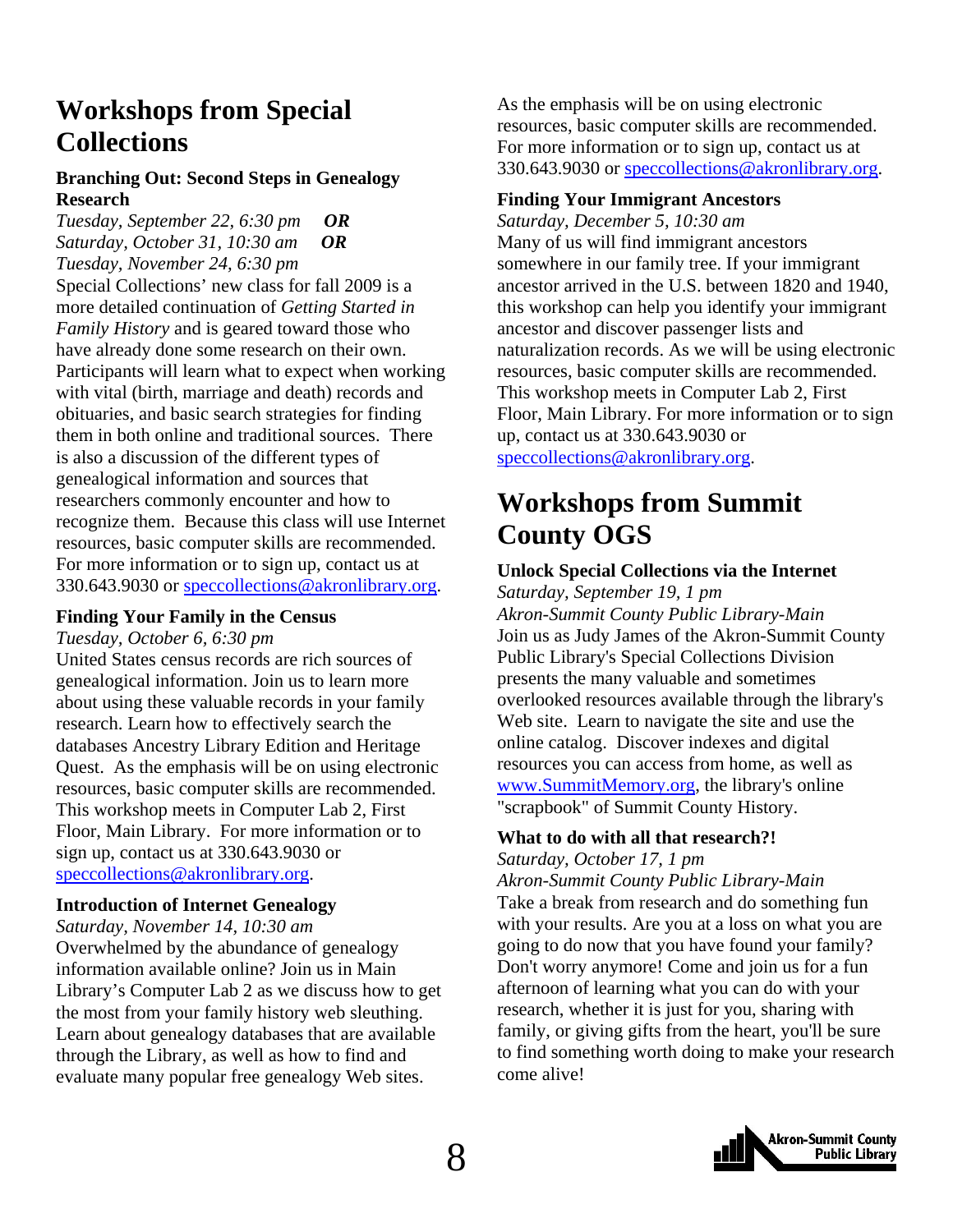## <span id="page-7-0"></span>**Workshops from Special Collections**

#### **Branching Out: Second Steps in Genealogy Research**

*Tuesday, September 22, 6:30 pm OR Saturday, October 31, 10:30 am OR Tuesday, November 24, 6:30 pm* 

Special Collections' new class for fall 2009 is a more detailed continuation of *Getting Started in Family History* and is geared toward those who have already done some research on their own. Participants will learn what to expect when working with vital (birth, marriage and death) records and obituaries, and basic search strategies for finding them in both online and traditional sources. There is also a discussion of the different types of genealogical information and sources that researchers commonly encounter and how to recognize them. Because this class will use Internet resources, basic computer skills are recommended. For more information or to sign up, contact us at 330.643.9030 or speccollections@akronlibrary.org.

#### **Finding Your Family in the Census**

*Tuesday, October 6, 6:30 pm* 

United States census records are rich sources of genealogical information. Join us to learn more about using these valuable records in your family research. Learn how to effectively search the databases Ancestry Library Edition and Heritage Quest. As the emphasis will be on using electronic resources, basic computer skills are recommended. This workshop meets in Computer Lab 2, First Floor, Main Library. For more information or to sign up, contact us at 330.643.9030 or speccollections@akronlibrary.org.

#### **Introduction of Internet Genealogy**

*Saturday, November 14, 10:30 am*  Overwhelmed by the abundance of genealogy information available online? Join us in Main Library's Computer Lab 2 as we discuss how to get the most from your family history web sleuthing. Learn about genealogy databases that are available through the Library, as well as how to find and evaluate many popular free genealogy Web sites.

As the emphasis will be on using electronic resources, basic computer skills are recommended. For more information or to sign up, contact us at 330.643.9030 or speccollections@akronlibrary.org.

#### **Finding Your Immigrant Ancestors**

*Saturday, December 5, 10:30 am*  Many of us will find immigrant ancestors somewhere in our family tree. If your immigrant ancestor arrived in the U.S. between 1820 and 1940, this workshop can help you identify your immigrant ancestor and discover passenger lists and naturalization records. As we will be using electronic resources, basic computer skills are recommended. This workshop meets in Computer Lab 2, First Floor, Main Library. For more information or to sign up, contact us at 330.643.9030 or speccollections@akronlibrary.org.

**Workshops from Summit County OGS** 

#### **Unlock Special Collections via the Internet**

*Saturday, September 19, 1 pm Akron-Summit County Public Library-Main*  Join us as Judy James of the Akron-Summit County Public Library's Special Collections Division presents the many valuable and sometimes overlooked resources available through the library's Web site. Learn to navigate the site and use the online catalog. Discover indexes and digital resources you can access from home, as well as www.SummitMemory.org, the library's online "scrapbook" of Summit County History.

#### **What to do with all that research?!**

*Saturday, October 17, 1 pm* 

*Akron-Summit County Public Library-Main*  Take a break from research and do something fun with your results. Are you at a loss on what you are going to do now that you have found your family? Don't worry anymore! Come and join us for a fun afternoon of learning what you can do with your research, whether it is just for you, sharing with family, or giving gifts from the heart, you'll be sure to find something worth doing to make your research come alive!

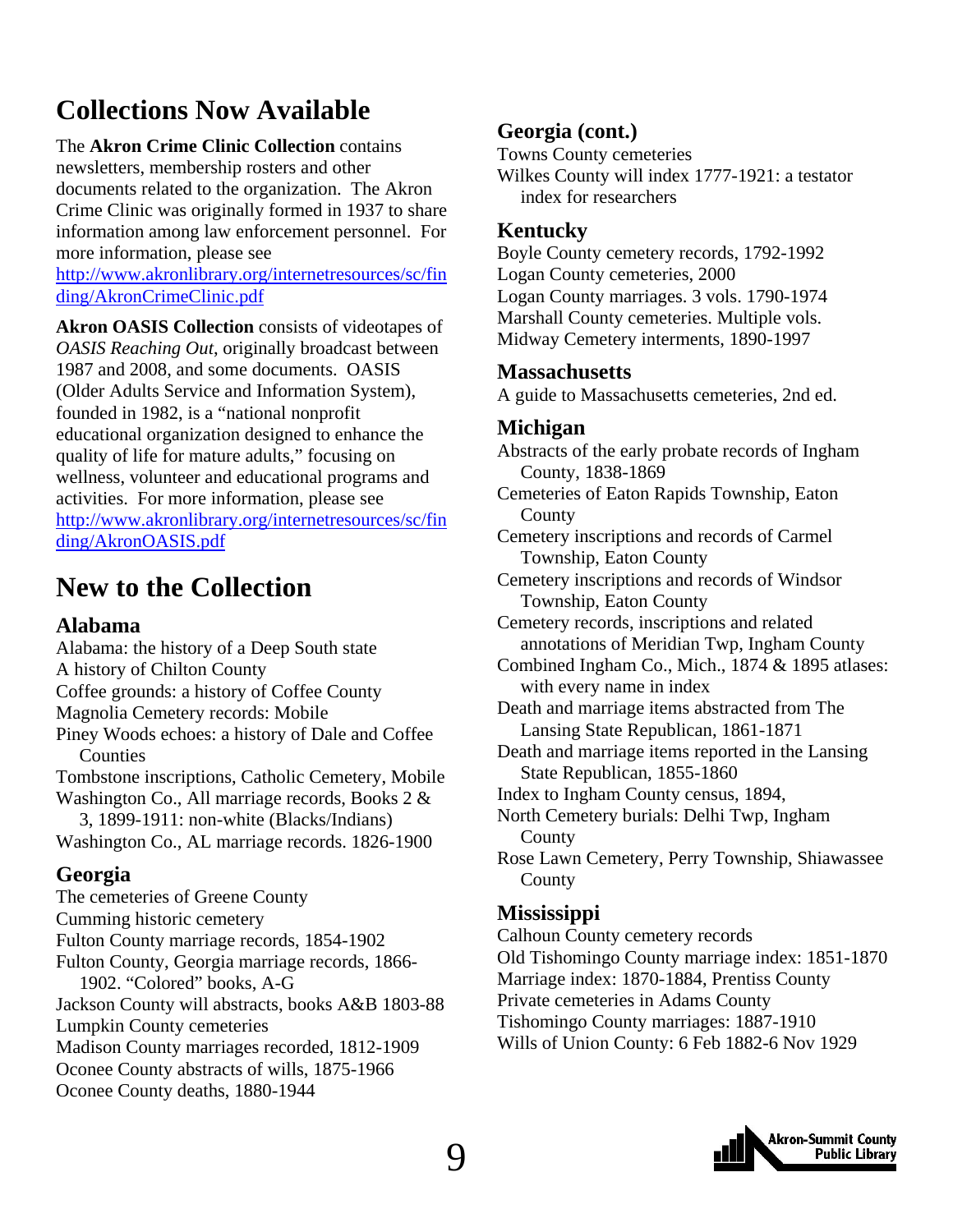## <span id="page-8-0"></span>**Collections Now Available**

The **Akron Crime Clinic Collection** contains newsletters, membership rosters and other documents related to the organization. The Akron Crime Clinic was originally formed in 1937 to share information among law enforcement personnel. For more information, please see

[http://www.akronlibrary.org/internetresources/sc/fin](http://www.akronlibrary.org/internetresources/sc/finding/AkronCrimeClinic.pdf) ding/AkronCrimeClinic.pdf

**Akron OASIS Collection** consists of videotapes of *OASIS Reaching Out*, originally broadcast between 1987 and 2008, and some documents. OASIS (Older Adults Service and Information System), founded in 1982, is a "national nonprofit educational organization designed to enhance the quality of life for mature adults," focusing on wellness, volunteer and educational programs and activities. For more information, please see [http://www.akronlibrary.org/internetresources/sc/fin](http://www.akronlibrary.org/internetresources/sc/finding/AkronOASIS.pdf) ding/AkronOASIS.pdf

### **New to the Collection**

#### **Alabama**

Alabama: the history of a Deep South state A history of Chilton County Coffee grounds: a history of Coffee County Magnolia Cemetery records: Mobile Piney Woods echoes: a history of Dale and Coffee **Counties** Tombstone inscriptions, Catholic Cemetery, Mobile Washington Co., All marriage records, Books 2 & 3, 1899-1911: non-white (Blacks/Indians) Washington Co., AL marriage records. 1826-1900

#### **Georgia**

The cemeteries of Greene County Cumming historic cemetery Fulton County marriage records, 1854-1902 Fulton County, Georgia marriage records, 1866- 1902. "Colored" books, A-G Jackson County will abstracts, books A&B 1803-88 Lumpkin County cemeteries Madison County marriages recorded, 1812-1909 Oconee County abstracts of wills, 1875-1966 Oconee County deaths, 1880-1944

#### **Georgia (cont.)**

Towns County cemeteries Wilkes County will index 1777-1921: a testator index for researchers

#### **Kentucky**

Boyle County cemetery records, 1792-1992 Logan County cemeteries, 2000 Logan County marriages. 3 vols. 1790-1974 Marshall County cemeteries. Multiple vols. Midway Cemetery interments, 1890-1997

#### **Massachusetts**

A guide to Massachusetts cemeteries, 2nd ed.

#### **Michigan**

Abstracts of the early probate records of Ingham County, 1838-1869 Cemeteries of Eaton Rapids Township, Eaton **County** Cemetery inscriptions and records of Carmel Township, Eaton County Cemetery inscriptions and records of Windsor Township, Eaton County Cemetery records, inscriptions and related annotations of Meridian Twp, Ingham County Combined Ingham Co., Mich., 1874 & 1895 atlases: with every name in index Death and marriage items abstracted from The Lansing State Republican, 1861-1871 Death and marriage items reported in the Lansing State Republican, 1855-1860 Index to Ingham County census, 1894, North Cemetery burials: Delhi Twp, Ingham County Rose Lawn Cemetery, Perry Township, Shiawassee County **Mississippi** 

Calhoun County cemetery records Old Tishomingo County marriage index: 1851-1870 Marriage index: 1870-1884, Prentiss County Private cemeteries in Adams County Tishomingo County marriages: 1887-1910 Wills of Union County: 6 Feb 1882-6 Nov 1929

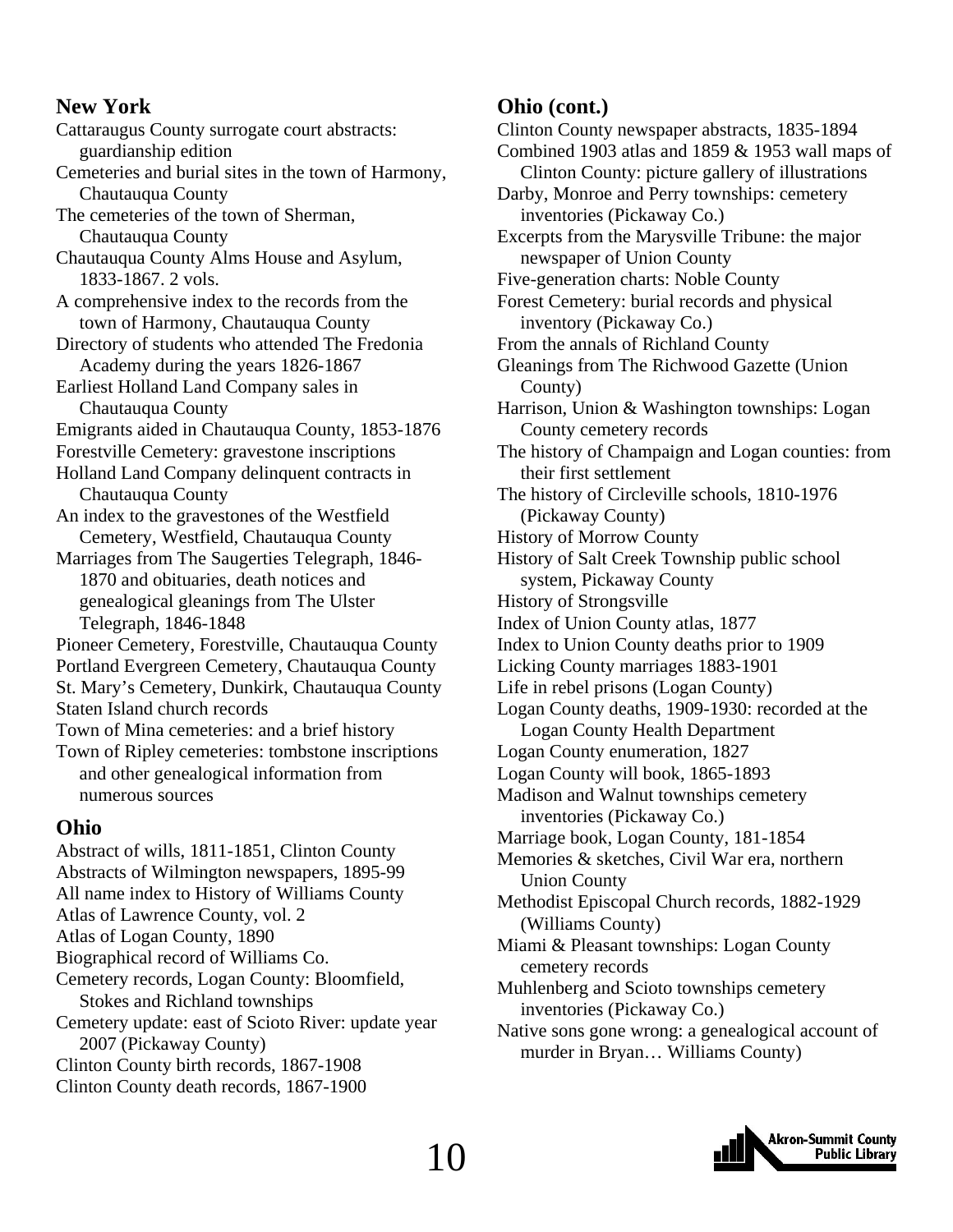#### **New York**

Cattaraugus County surrogate court abstracts: guardianship edition Cemeteries and burial sites in the town of Harmony, Chautauqua County The cemeteries of the town of Sherman, Chautauqua County Chautauqua County Alms House and Asylum, 1833-1867. 2 vols. A comprehensive index to the records from the town of Harmony, Chautauqua County Directory of students who attended The Fredonia Academy during the years 1826-1867 Earliest Holland Land Company sales in Chautauqua County Emigrants aided in Chautauqua County, 1853-1876 Forestville Cemetery: gravestone inscriptions Holland Land Company delinquent contracts in Chautauqua County An index to the gravestones of the Westfield Cemetery, Westfield, Chautauqua County Marriages from The Saugerties Telegraph, 1846- 1870 and obituaries, death notices and genealogical gleanings from The Ulster Telegraph, 1846-1848 Pioneer Cemetery, Forestville, Chautauqua County Portland Evergreen Cemetery, Chautauqua County St. Mary's Cemetery, Dunkirk, Chautauqua County Staten Island church records Town of Mina cemeteries: and a brief history Town of Ripley cemeteries: tombstone inscriptions and other genealogical information from numerous sources

#### **Ohio**

Abstract of wills, 1811-1851, Clinton County Abstracts of Wilmington newspapers, 1895-99 All name index to History of Williams County Atlas of Lawrence County, vol. 2 Atlas of Logan County, 1890 Biographical record of Williams Co. Cemetery records, Logan County: Bloomfield, Stokes and Richland townships Cemetery update: east of Scioto River: update year 2007 (Pickaway County) Clinton County birth records, 1867-1908 Clinton County death records, 1867-1900

#### **Ohio (cont.)**

Clinton County newspaper abstracts, 1835-1894 Combined 1903 atlas and 1859 & 1953 wall maps of Clinton County: picture gallery of illustrations Darby, Monroe and Perry townships: cemetery inventories (Pickaway Co.) Excerpts from the Marysville Tribune: the major newspaper of Union County Five-generation charts: Noble County Forest Cemetery: burial records and physical inventory (Pickaway Co.) From the annals of Richland County Gleanings from The Richwood Gazette (Union County) Harrison, Union & Washington townships: Logan County cemetery records The history of Champaign and Logan counties: from their first settlement The history of Circleville schools, 1810-1976 (Pickaway County) History of Morrow County History of Salt Creek Township public school system, Pickaway County History of Strongsville Index of Union County atlas, 1877 Index to Union County deaths prior to 1909 Licking County marriages 1883-1901 Life in rebel prisons (Logan County) Logan County deaths, 1909-1930: recorded at the Logan County Health Department Logan County enumeration, 1827 Logan County will book, 1865-1893 Madison and Walnut townships cemetery inventories (Pickaway Co.) Marriage book, Logan County, 181-1854 Memories & sketches, Civil War era, northern Union County Methodist Episcopal Church records, 1882-1929 (Williams County) Miami & Pleasant townships: Logan County cemetery records Muhlenberg and Scioto townships cemetery inventories (Pickaway Co.) Native sons gone wrong: a genealogical account of murder in Bryan… Williams County)

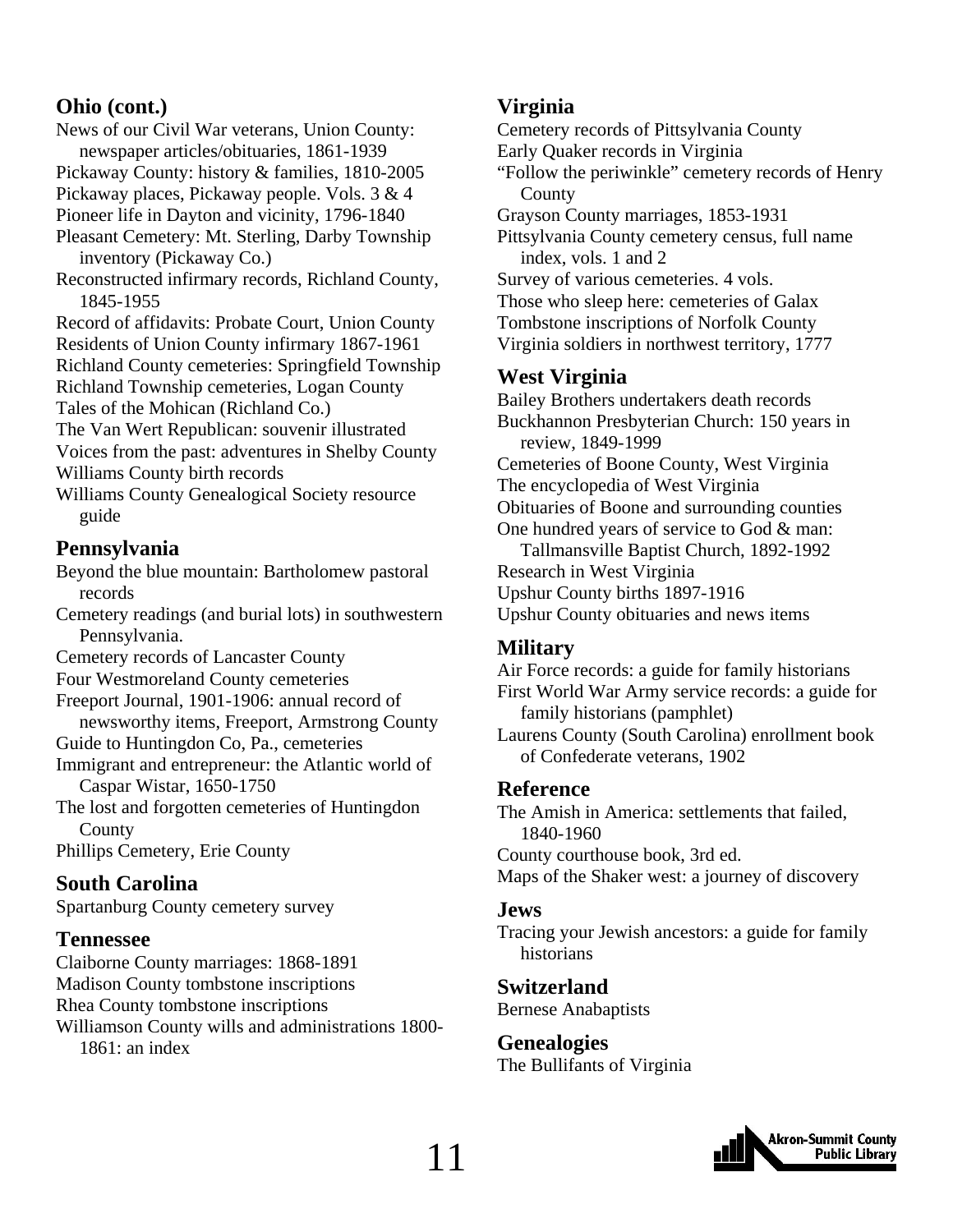#### **Ohio (cont.)**

News of our Civil War veterans, Union County: newspaper articles/obituaries, 1861-1939

Pickaway County: history & families, 1810-2005

Pickaway places, Pickaway people. Vols. 3 & 4 Pioneer life in Dayton and vicinity, 1796-1840

- Pleasant Cemetery: Mt. Sterling, Darby Township inventory (Pickaway Co.)
- Reconstructed infirmary records, Richland County, 1845-1955
- Record of affidavits: Probate Court, Union County Residents of Union County infirmary 1867-1961

Richland County cemeteries: Springfield Township Richland Township cemeteries, Logan County

Tales of the Mohican (Richland Co.)

The Van Wert Republican: souvenir illustrated Voices from the past: adventures in Shelby County Williams County birth records

Williams County Genealogical Society resource guide

#### **Pennsylvania**

Beyond the blue mountain: Bartholomew pastoral records

Cemetery readings (and burial lots) in southwestern Pennsylvania.

Cemetery records of Lancaster County

Four Westmoreland County cemeteries

Freeport Journal, 1901-1906: annual record of newsworthy items, Freeport, Armstrong County

Guide to Huntingdon Co, Pa., cemeteries

Immigrant and entrepreneur: the Atlantic world of Caspar Wistar, 1650-1750

The lost and forgotten cemeteries of Huntingdon **County** 

Phillips Cemetery, Erie County

#### **South Carolina**

Spartanburg County cemetery survey

#### **Tennessee**

Claiborne County marriages: 1868-1891 Madison County tombstone inscriptions Rhea County tombstone inscriptions Williamson County wills and administrations 1800- 1861: an index

### **Virginia**

Cemetery records of Pittsylvania County Early Quaker records in Virginia "Follow the periwinkle" cemetery records of Henry County Grayson County marriages, 1853-1931 Pittsylvania County cemetery census, full name index, vols. 1 and 2 Survey of various cemeteries. 4 vols. Those who sleep here: cemeteries of Galax Tombstone inscriptions of Norfolk County Virginia soldiers in northwest territory, 1777 **West Virginia**  Bailey Brothers undertakers death records

Buckhannon Presbyterian Church: 150 years in review, 1849-1999 Cemeteries of Boone County, West Virginia The encyclopedia of West Virginia Obituaries of Boone and surrounding counties One hundred years of service to God & man: Tallmansville Baptist Church, 1892-1992 Research in West Virginia

Upshur County births 1897-1916

Upshur County obituaries and news items

#### **Military**

Air Force records: a guide for family historians First World War Army service records: a guide for family historians (pamphlet) Laurens County (South Carolina) enrollment book of Confederate veterans, 1902

#### **Reference**

The Amish in America: settlements that failed, 1840-1960 County courthouse book, 3rd ed. Maps of the Shaker west: a journey of discovery

#### **Jews**

Tracing your Jewish ancestors: a guide for family historians

**Switzerland**  Bernese Anabaptists

### **Genealogies**

The Bullifants of Virginia